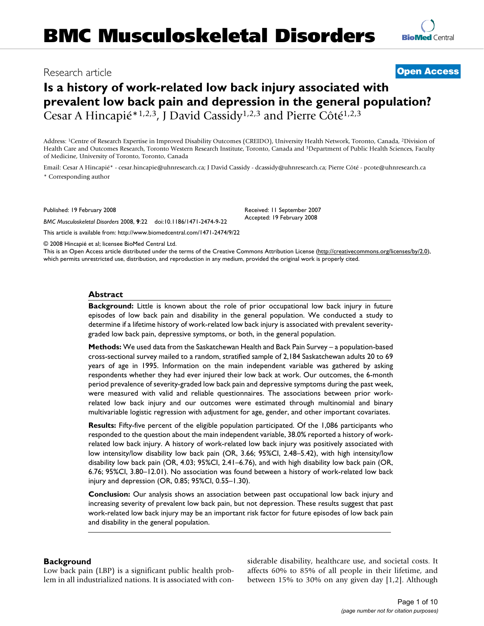# Research article **[Open Access](http://www.biomedcentral.com/info/about/charter/)**

# **Is a history of work-related low back injury associated with prevalent low back pain and depression in the general population?** Cesar A Hincapié\*1,2,3, J David Cassidy1,2,3 and Pierre Côté1,2,3

Address: 1Centre of Research Expertise in Improved Disability Outcomes (CREIDO), University Health Network, Toronto, Canada, 2Division of Health Care and Outcomes Research, Toronto Western Research Institute, Toronto, Canada and 3Department of Public Health Sciences, Faculty of Medicine, University of Toronto, Toronto, Canada

Email: Cesar A Hincapié\* - cesar.hincapie@uhnresearch.ca; J David Cassidy - dcassidy@uhnresearch.ca; Pierre Côté - pcote@uhnresearch.ca \* Corresponding author

Published: 19 February 2008

*BMC Musculoskeletal Disorders* 2008, **9**:22 doi:10.1186/1471-2474-9-22 [This article is available from: http://www.biomedcentral.com/1471-2474/9/22](http://www.biomedcentral.com/1471-2474/9/22)

Received: 11 September 2007 Accepted: 19 February 2008

© 2008 Hincapié et al; licensee BioMed Central Ltd.

This is an Open Access article distributed under the terms of the Creative Commons Attribution License [\(http://creativecommons.org/licenses/by/2.0\)](http://creativecommons.org/licenses/by/2.0), which permits unrestricted use, distribution, and reproduction in any medium, provided the original work is properly cited.

#### **Abstract**

**Background:** Little is known about the role of prior occupational low back injury in future episodes of low back pain and disability in the general population. We conducted a study to determine if a lifetime history of work-related low back injury is associated with prevalent severitygraded low back pain, depressive symptoms, or both, in the general population.

**Methods:** We used data from the Saskatchewan Health and Back Pain Survey – a population-based cross-sectional survey mailed to a random, stratified sample of 2,184 Saskatchewan adults 20 to 69 years of age in 1995. Information on the main independent variable was gathered by asking respondents whether they had ever injured their low back at work. Our outcomes, the 6-month period prevalence of severity-graded low back pain and depressive symptoms during the past week, were measured with valid and reliable questionnaires. The associations between prior workrelated low back injury and our outcomes were estimated through multinomial and binary multivariable logistic regression with adjustment for age, gender, and other important covariates.

**Results:** Fifty-five percent of the eligible population participated. Of the 1,086 participants who responded to the question about the main independent variable, 38.0% reported a history of workrelated low back injury. A history of work-related low back injury was positively associated with low intensity/low disability low back pain (OR, 3.66; 95%CI, 2.48–5.42), with high intensity/low disability low back pain (OR, 4.03; 95%CI, 2.41–6.76), and with high disability low back pain (OR, 6.76; 95%CI, 3.80–12.01). No association was found between a history of work-related low back injury and depression (OR, 0.85; 95%CI, 0.55–1.30).

**Conclusion:** Our analysis shows an association between past occupational low back injury and increasing severity of prevalent low back pain, but not depression. These results suggest that past work-related low back injury may be an important risk factor for future episodes of low back pain and disability in the general population.

# **Background**

Low back pain (LBP) is a significant public health problem in all industrialized nations. It is associated with considerable disability, healthcare use, and societal costs. It affects 60% to 85% of all people in their lifetime, and between 15% to 30% on any given day [1,2]. Although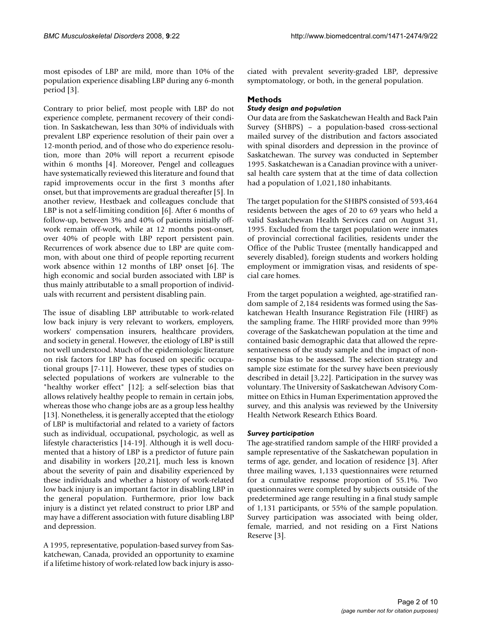most episodes of LBP are mild, more than 10% of the population experience disabling LBP during any 6-month period [3].

Contrary to prior belief, most people with LBP do not experience complete, permanent recovery of their condition. In Saskatchewan, less than 30% of individuals with prevalent LBP experience resolution of their pain over a 12-month period, and of those who do experience resolution, more than 20% will report a recurrent episode within 6 months [4]. Moreover, Pengel and colleagues have systematically reviewed this literature and found that rapid improvements occur in the first 3 months after onset, but that improvements are gradual thereafter [5]. In another review, Hestbaek and colleagues conclude that LBP is not a self-limiting condition [6]. After 6 months of follow-up, between 3% and 40% of patients initially offwork remain off-work, while at 12 months post-onset, over 40% of people with LBP report persistent pain. Recurrences of work absence due to LBP are quite common, with about one third of people reporting recurrent work absence within 12 months of LBP onset [6]. The high economic and social burden associated with LBP is thus mainly attributable to a small proportion of individuals with recurrent and persistent disabling pain.

The issue of disabling LBP attributable to work-related low back injury is very relevant to workers, employers, workers' compensation insurers, healthcare providers, and society in general. However, the etiology of LBP is still not well understood. Much of the epidemiologic literature on risk factors for LBP has focused on specific occupational groups [7-11]. However, these types of studies on selected populations of workers are vulnerable to the "healthy worker effect" [12]; a self-selection bias that allows relatively healthy people to remain in certain jobs, whereas those who change jobs are as a group less healthy [13]. Nonetheless, it is generally accepted that the etiology of LBP is multifactorial and related to a variety of factors such as individual, occupational, psychologic, as well as lifestyle characteristics [14-19]. Although it is well documented that a history of LBP is a predictor of future pain and disability in workers [20,21], much less is known about the severity of pain and disability experienced by these individuals and whether a history of work-related low back injury is an important factor in disabling LBP in the general population. Furthermore, prior low back injury is a distinct yet related construct to prior LBP and may have a different association with future disabling LBP and depression.

A 1995, representative, population-based survey from Saskatchewan, Canada, provided an opportunity to examine if a lifetime history of work-related low back injury is associated with prevalent severity-graded LBP, depressive symptomatology, or both, in the general population.

# **Methods**

# *Study design and population*

Our data are from the Saskatchewan Health and Back Pain Survey (SHBPS) – a population-based cross-sectional mailed survey of the distribution and factors associated with spinal disorders and depression in the province of Saskatchewan. The survey was conducted in September 1995. Saskatchewan is a Canadian province with a universal health care system that at the time of data collection had a population of 1,021,180 inhabitants.

The target population for the SHBPS consisted of 593,464 residents between the ages of 20 to 69 years who held a valid Saskatchewan Health Services card on August 31, 1995. Excluded from the target population were inmates of provincial correctional facilities, residents under the Office of the Public Trustee (mentally handicapped and severely disabled), foreign students and workers holding employment or immigration visas, and residents of special care homes.

From the target population a weighted, age-stratified random sample of 2,184 residents was formed using the Saskatchewan Health Insurance Registration File (HIRF) as the sampling frame. The HIRF provided more than 99% coverage of the Saskatchewan population at the time and contained basic demographic data that allowed the representativeness of the study sample and the impact of nonresponse bias to be assessed. The selection strategy and sample size estimate for the survey have been previously described in detail [3,22]. Participation in the survey was voluntary. The University of Saskatchewan Advisory Committee on Ethics in Human Experimentation approved the survey, and this analysis was reviewed by the University Health Network Research Ethics Board.

# *Survey participation*

The age-stratified random sample of the HIRF provided a sample representative of the Saskatchewan population in terms of age, gender, and location of residence [3]. After three mailing waves, 1,133 questionnaires were returned for a cumulative response proportion of 55.1%. Two questionnaires were completed by subjects outside of the predetermined age range resulting in a final study sample of 1,131 participants, or 55% of the sample population. Survey participation was associated with being older, female, married, and not residing on a First Nations Reserve [3].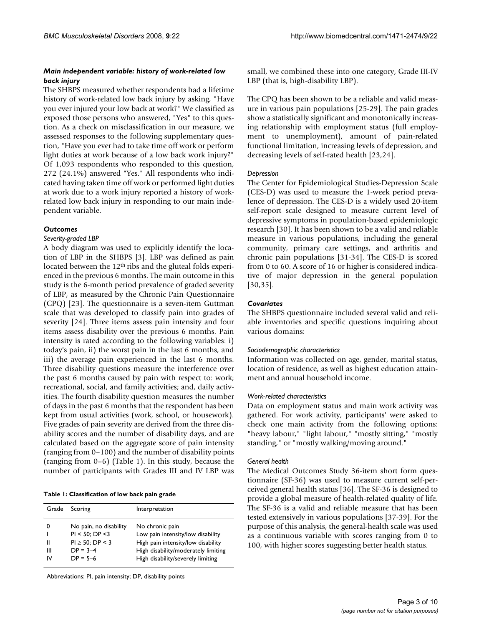## *Main independent variable: history of work-related low back injury*

The SHBPS measured whether respondents had a lifetime history of work-related low back injury by asking, "Have you ever injured your low back at work?" We classified as exposed those persons who answered, "Yes" to this question. As a check on misclassification in our measure, we assessed responses to the following supplementary question, "Have you ever had to take time off work or perform light duties at work because of a low back work injury?" Of 1,093 respondents who responded to this question, 272 (24.1%) answered "Yes." All respondents who indicated having taken time off work or performed light duties at work due to a work injury reported a history of workrelated low back injury in responding to our main independent variable.

# *Outcomes*

# *Severity-graded LBP*

A body diagram was used to explicitly identify the location of LBP in the SHBPS [3]. LBP was defined as pain located between the 12<sup>th</sup> ribs and the gluteal folds experienced in the previous 6 months. The main outcome in this study is the 6-month period prevalence of graded severity of LBP, as measured by the Chronic Pain Questionnaire (CPQ) [23]. The questionnaire is a seven-item Guttman scale that was developed to classify pain into grades of severity [24]. Three items assess pain intensity and four items assess disability over the previous 6 months. Pain intensity is rated according to the following variables: i) today's pain, ii) the worst pain in the last 6 months, and iii) the average pain experienced in the last 6 months. Three disability questions measure the interference over the past 6 months caused by pain with respect to: work; recreational, social, and family activities; and, daily activities. The fourth disability question measures the number of days in the past 6 months that the respondent has been kept from usual activities (work, school, or housework). Five grades of pain severity are derived from the three disability scores and the number of disability days, and are calculated based on the aggregate score of pain intensity (ranging from 0–100) and the number of disability points (ranging from 0–6) (Table 1). In this study, because the number of participants with Grades III and IV LBP was

**Table 1: Classification of low back pain grade**

| Grade        | Scoring                                                                                              | Interpretation                                                                                                                                                         |
|--------------|------------------------------------------------------------------------------------------------------|------------------------------------------------------------------------------------------------------------------------------------------------------------------------|
| Ш<br>Ш<br>ιv | No pain, no disability<br>$PI < 50$ ; DP $<$ 3<br>$PI \ge 50$ : DP < 3<br>$DP = 3-4$<br>$DP = 5 - 6$ | No chronic pain<br>Low pain intensity/low disability<br>High pain intensity/low disability<br>High disability/moderately limiting<br>High disability/severely limiting |

Abbreviations: PI, pain intensity; DP, disability points

small, we combined these into one category, Grade III-IV LBP (that is, high-disability LBP).

The CPQ has been shown to be a reliable and valid measure in various pain populations [25-29]. The pain grades show a statistically significant and monotonically increasing relationship with employment status (full employment to unemployment), amount of pain-related functional limitation, increasing levels of depression, and decreasing levels of self-rated health [23,24].

## *Depression*

The Center for Epidemiological Studies-Depression Scale (CES-D) was used to measure the 1-week period prevalence of depression. The CES-D is a widely used 20-item self-report scale designed to measure current level of depressive symptoms in population-based epidemiologic research [30]. It has been shown to be a valid and reliable measure in various populations, including the general community, primary care settings, and arthritis and chronic pain populations [31-34]. The CES-D is scored from 0 to 60. A score of 16 or higher is considered indicative of major depression in the general population [30,35].

# *Covariates*

The SHBPS questionnaire included several valid and reliable inventories and specific questions inquiring about various domains:

# *Sociodemographic characteristics*

Information was collected on age, gender, marital status, location of residence, as well as highest education attainment and annual household income.

# *Work-related characteristics*

Data on employment status and main work activity was gathered. For work activity, participants' were asked to check one main activity from the following options: "heavy labour," "light labour," "mostly sitting," "mostly standing," or "mostly walking/moving around."

# *General health*

The Medical Outcomes Study 36-item short form questionnaire (SF-36) was used to measure current self-perceived general health status [36]. The SF-36 is designed to provide a global measure of health-related quality of life. The SF-36 is a valid and reliable measure that has been tested extensively in various populations [37-39]. For the purpose of this analysis, the general-health scale was used as a continuous variable with scores ranging from 0 to 100, with higher scores suggesting better health status.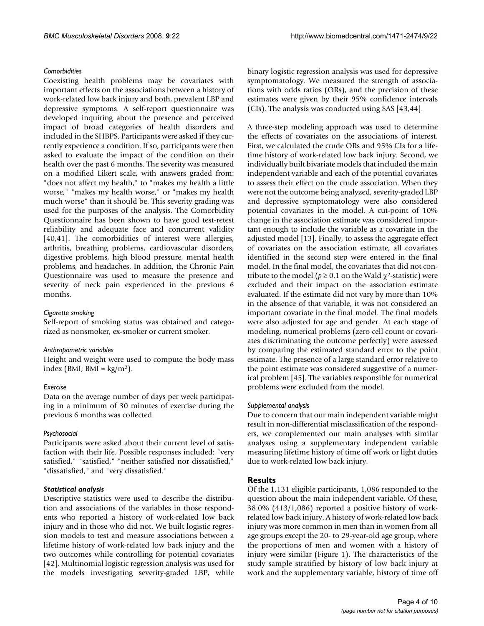# *Comorbidities*

Coexisting health problems may be covariates with important effects on the associations between a history of work-related low back injury and both, prevalent LBP and depressive symptoms. A self-report questionnaire was developed inquiring about the presence and perceived impact of broad categories of health disorders and included in the SHBPS. Participants were asked if they currently experience a condition. If so, participants were then asked to evaluate the impact of the condition on their health over the past 6 months. The severity was measured on a modified Likert scale, with answers graded from: "does not affect my health," to "makes my health a little worse," "makes my health worse," or "makes my health much worse" than it should be. This severity grading was used for the purposes of the analysis. The Comorbidity Questionnaire has been shown to have good test-retest reliability and adequate face and concurrent validity [40,41]. The comorbidities of interest were allergies, arthritis, breathing problems, cardiovascular disorders, digestive problems, high blood pressure, mental health problems, and headaches. In addition, the Chronic Pain Questionnaire was used to measure the presence and severity of neck pain experienced in the previous 6 months.

# *Cigarette smoking*

Self-report of smoking status was obtained and categorized as nonsmoker, ex-smoker or current smoker.

#### *Anthropometric variables*

Height and weight were used to compute the body mass index (BMI; BMI =  $\text{kg/m}^2$ ).

#### *Exercise*

Data on the average number of days per week participating in a minimum of 30 minutes of exercise during the previous 6 months was collected.

#### *Psychosocial*

Participants were asked about their current level of satisfaction with their life. Possible responses included: "very satisfied," "satisfied," "neither satisfied nor dissatisfied," "dissatisfied," and "very dissatisfied."

#### *Statistical analysis*

Descriptive statistics were used to describe the distribution and associations of the variables in those respondents who reported a history of work-related low back injury and in those who did not. We built logistic regression models to test and measure associations between a lifetime history of work-related low back injury and the two outcomes while controlling for potential covariates [42]. Multinomial logistic regression analysis was used for the models investigating severity-graded LBP, while binary logistic regression analysis was used for depressive symptomatology. We measured the strength of associations with odds ratios (ORs), and the precision of these estimates were given by their 95% confidence intervals (CIs). The analysis was conducted using SAS [43,44].

A three-step modeling approach was used to determine the effects of covariates on the associations of interest. First, we calculated the crude ORs and 95% CIs for a lifetime history of work-related low back injury. Second, we individually built bivariate models that included the main independent variable and each of the potential covariates to assess their effect on the crude association. When they were not the outcome being analyzed, severity-graded LBP and depressive symptomatology were also considered potential covariates in the model. A cut-point of 10% change in the association estimate was considered important enough to include the variable as a covariate in the adjusted model [13]. Finally, to assess the aggregate effect of covariates on the association estimate, all covariates identified in the second step were entered in the final model. In the final model, the covariates that did not contribute to the model ( $p \ge 0.1$  on the Wald  $\chi^2$ -statistic) were excluded and their impact on the association estimate evaluated. If the estimate did not vary by more than 10% in the absence of that variable, it was not considered an important covariate in the final model. The final models were also adjusted for age and gender. At each stage of modeling, numerical problems (zero cell count or covariates discriminating the outcome perfectly) were assessed by comparing the estimated standard error to the point estimate. The presence of a large standard error relative to the point estimate was considered suggestive of a numerical problem [45]. The variables responsible for numerical problems were excluded from the model.

#### *Supplemental analysis*

Due to concern that our main independent variable might result in non-differential misclassification of the responders, we complemented our main analyses with similar analyses using a supplementary independent variable measuring lifetime history of time off work or light duties due to work-related low back injury.

#### **Results**

Of the 1,131 eligible participants, 1,086 responded to the question about the main independent variable. Of these, 38.0% (413/1,086) reported a positive history of workrelated low back injury. A history of work-related low back injury was more common in men than in women from all age groups except the 20- to 29-year-old age group, where the proportions of men and women with a history of injury were similar (Figure 1). The characteristics of the study sample stratified by history of low back injury at work and the supplementary variable, history of time off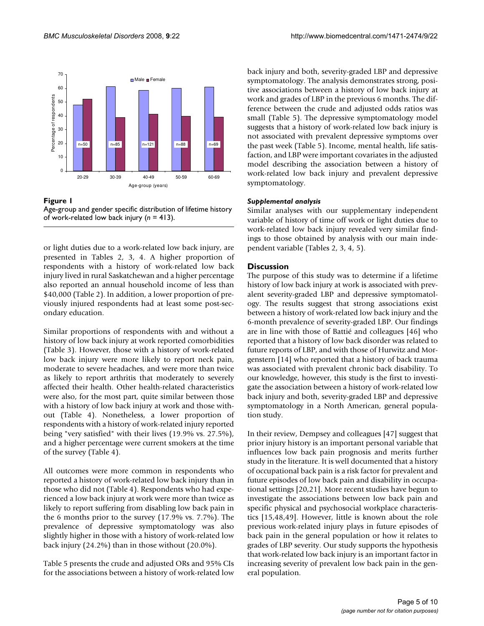

Figure 1

Age-group and gender specific distribution of lifetime history of work-related low back injury (*n* = 413).

or light duties due to a work-related low back injury, are presented in Tables 2, 3, 4. A higher proportion of respondents with a history of work-related low back injury lived in rural Saskatchewan and a higher percentage also reported an annual household income of less than \$40,000 (Table 2). In addition, a lower proportion of previously injured respondents had at least some post-secondary education.

Similar proportions of respondents with and without a history of low back injury at work reported comorbidities (Table 3). However, those with a history of work-related low back injury were more likely to report neck pain, moderate to severe headaches, and were more than twice as likely to report arthritis that moderately to severely affected their health. Other health-related characteristics were also, for the most part, quite similar between those with a history of low back injury at work and those without (Table 4). Nonetheless, a lower proportion of respondents with a history of work-related injury reported being "very satisfied" with their lives (19.9% vs. 27.5%), and a higher percentage were current smokers at the time of the survey (Table 4).

All outcomes were more common in respondents who reported a history of work-related low back injury than in those who did not (Table 4). Respondents who had experienced a low back injury at work were more than twice as likely to report suffering from disabling low back pain in the 6 months prior to the survey (17.9% vs. 7.7%). The prevalence of depressive symptomatology was also slightly higher in those with a history of work-related low back injury (24.2%) than in those without (20.0%).

Table 5 presents the crude and adjusted ORs and 95% CIs for the associations between a history of work-related low back injury and both, severity-graded LBP and depressive symptomatology. The analysis demonstrates strong, positive associations between a history of low back injury at work and grades of LBP in the previous 6 months. The difference between the crude and adjusted odds ratios was small (Table 5). The depressive symptomatology model suggests that a history of work-related low back injury is not associated with prevalent depressive symptoms over the past week (Table 5). Income, mental health, life satisfaction, and LBP were important covariates in the adjusted model describing the association between a history of work-related low back injury and prevalent depressive symptomatology.

# *Supplemental analysis*

Similar analyses with our supplementary independent variable of history of time off work or light duties due to work-related low back injury revealed very similar findings to those obtained by analysis with our main independent variable (Tables 2, 3, 4, 5).

# **Discussion**

The purpose of this study was to determine if a lifetime history of low back injury at work is associated with prevalent severity-graded LBP and depressive symptomatology. The results suggest that strong associations exist between a history of work-related low back injury and the 6-month prevalence of severity-graded LBP. Our findings are in line with those of Battié and colleagues [46] who reported that a history of low back disorder was related to future reports of LBP, and with those of Hurwitz and Morgenstern [14] who reported that a history of back trauma was associated with prevalent chronic back disability. To our knowledge, however, this study is the first to investigate the association between a history of work-related low back injury and both, severity-graded LBP and depressive symptomatology in a North American, general population study.

In their review, Dempsey and colleagues [47] suggest that prior injury history is an important personal variable that influences low back pain prognosis and merits further study in the literature. It is well documented that a history of occupational back pain is a risk factor for prevalent and future episodes of low back pain and disability in occupational settings [20,21]. More recent studies have begun to investigate the associations between low back pain and specific physical and psychosocial workplace characteristics [15,48,49]. However, little is known about the role previous work-related injury plays in future episodes of back pain in the general population or how it relates to grades of LBP severity. Our study supports the hypothesis that work-related low back injury is an important factor in increasing severity of prevalent low back pain in the general population.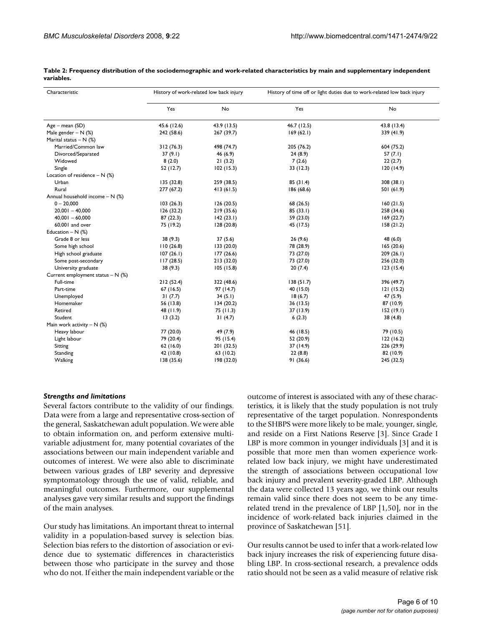| Characteristic                      | History of work-related low back injury |             | History of time off or light duties due to work-related low back injury |             |
|-------------------------------------|-----------------------------------------|-------------|-------------------------------------------------------------------------|-------------|
|                                     | Yes                                     | No          | Yes                                                                     | No          |
| Age - mean (SD)                     | 45.6 (12.6)                             | 43.9 (13.5) | 46.7 (12.5)                                                             | 43.8 (13.4) |
| Male gender $- N$ (%)               | 242 (58.6)                              | 267 (39.7)  | 169(62.1)                                                               | 339 (41.9)  |
| Marital status $- N$ (%)            |                                         |             |                                                                         |             |
| Married/Common law                  | 312(76.3)                               | 498 (74.7)  | 205 (76.2)                                                              | 604 (75.2)  |
| Divorced/Separated                  | 37(9.1)                                 | 46 (6.9)    | 24(8.9)                                                                 | 57 $(7.1)$  |
| Widowed                             | 8(2.0)                                  | 21(3.2)     | 7(2.6)                                                                  | 22(2.7)     |
| Single                              | 52 (12.7)                               | 102(15.3)   | 33(12.3)                                                                | 120(14.9)   |
| Location of residence $- N$ (%)     |                                         |             |                                                                         |             |
| Urban                               | 135 (32.8)                              | 259 (38.5)  | 85 (31.4)                                                               | 308(38.1)   |
| Rural                               | 277 (67.2)                              | 413(61.5)   | 186 (68.6)                                                              | 501 (61.9)  |
| Annual household income $- N$ (%)   |                                         |             |                                                                         |             |
| $0 - 20,000$                        | 103(26.3)                               | 126(20.5)   | 68 (26.5)                                                               | 160(21.5)   |
| $20,001 - 40,000$                   | 126 (32.2)                              | 219 (35.6)  | 85(33.1)                                                                | 258 (34.6)  |
| $40,001 - 60,000$                   | 87(22.3)                                | 142(23.1)   | 59 (23.0)                                                               | 169(22.7)   |
| 60,001 and over                     | 75 (19.2)                               | 128(20.8)   | 45 (17.5)                                                               | 158(21.2)   |
| Education $- N$ (%)                 |                                         |             |                                                                         |             |
| Grade 8 or less                     | 38 (9.3)                                | 37(5.6)     | 26(9.6)                                                                 | 48 (6.0)    |
| Some high school                    | 110(26.8)                               | 133(20.0)   | 78 (28.9)                                                               | 165(20.6)   |
| High school graduate                | 107(26.1)                               | 177(26.6)   | 73 (27.0)                                                               | 209(26.1)   |
| Some post-secondary                 | 117(28.5)                               | 213 (32.0)  | 73 (27.0)                                                               | 256 (32.0)  |
| University graduate                 | 38(9.3)                                 | 105(15.8)   | 20(7.4)                                                                 | 123(15.4)   |
| Current employment status $- N$ (%) |                                         |             |                                                                         |             |
| Full-time                           | 212(52.4)                               | 322 (48.6)  | 138(51.7)                                                               | 396 (49.7)  |
| Part-time                           | 67(16.5)                                | 97 (14.7)   | 40 (15.0)                                                               | 121(15.2)   |
| Unemployed                          | 31(7.7)                                 | 34(5.1)     | 18(6.7)                                                                 | 47 (5.9)    |
| Homemaker                           | 56 (13.8)                               | 134(20.2)   | 36(13.5)                                                                | 87 (10.9)   |
| Retired                             | 48 (11.9)                               | 75(11.3)    | 37 (13.9)                                                               | 152(19.1)   |
| Student                             | 13(3.2)                                 | 31(4.7)     | 6(2.3)                                                                  | 38(4.8)     |
| Main work activity $- N$ (%)        |                                         |             |                                                                         |             |
| Heavy labour                        | 77 (20.0)                               | 49 (7.9)    | 46 (18.5)                                                               | 79 (10.5)   |
| Light labour                        | 79 (20.4)                               | 95 (15.4)   | 52 (20.9)                                                               | 122(16.2)   |
| Sitting                             | 62(16.0)                                | 201 (32.5)  | 37 (14.9)                                                               | 226 (29.9)  |
| Standing                            | 42 (10.8)                               | 63 (10.2)   | 22(8.8)                                                                 | 82 (10.9)   |
| Walking                             | 138 (35.6)                              | 198 (32.0)  | 91(36.6)                                                                | 245 (32.5)  |

**Table 2: Frequency distribution of the sociodemographic and work-related characteristics by main and supplementary independent variables.**

# *Strengths and limitations*

Several factors contribute to the validity of our findings. Data were from a large and representative cross-section of the general, Saskatchewan adult population. We were able to obtain information on, and perform extensive multivariable adjustment for, many potential covariates of the associations between our main independent variable and outcomes of interest. We were also able to discriminate between various grades of LBP severity and depressive symptomatology through the use of valid, reliable, and meaningful outcomes. Furthermore, our supplemental analyses gave very similar results and support the findings of the main analyses.

Our study has limitations. An important threat to internal validity in a population-based survey is selection bias. Selection bias refers to the distortion of association or evidence due to systematic differences in characteristics between those who participate in the survey and those who do not. If either the main independent variable or the outcome of interest is associated with any of these characteristics, it is likely that the study population is not truly representative of the target population. Nonrespondents to the SHBPS were more likely to be male, younger, single, and reside on a First Nations Reserve [3]. Since Grade I LBP is more common in younger individuals [3] and it is possible that more men than women experience workrelated low back injury, we might have underestimated the strength of associations between occupational low back injury and prevalent severity-graded LBP. Although the data were collected 13 years ago, we think our results remain valid since there does not seem to be any timerelated trend in the prevalence of LBP [1,50], nor in the incidence of work-related back injuries claimed in the province of Saskatchewan [51].

Our results cannot be used to infer that a work-related low back injury increases the risk of experiencing future disabling LBP. In cross-sectional research, a prevalence odds ratio should not be seen as a valid measure of relative risk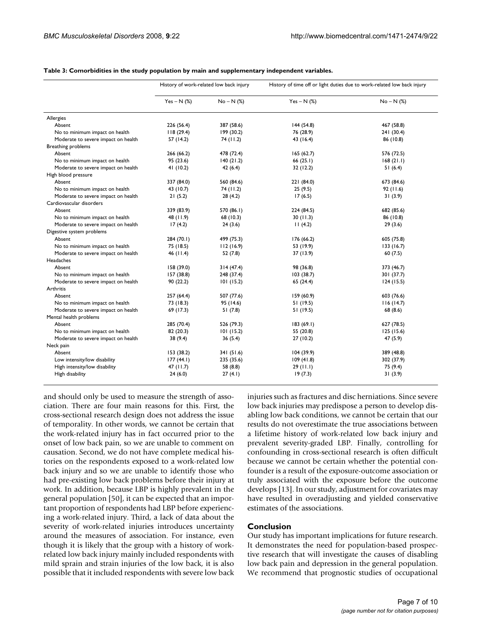|                                     | History of work-related low back injury |              | History of time off or light duties due to work-related low back injury |              |
|-------------------------------------|-----------------------------------------|--------------|-------------------------------------------------------------------------|--------------|
|                                     | $Yes - N$ (%)                           | $No - N$ $%$ | $Yes - N$ (%)                                                           | $No - N$ (%) |
| Allergies                           |                                         |              |                                                                         |              |
| Absent                              | 226 (56.4)                              | 387 (58.6)   | 144(54.8)                                                               | 467 (58.8)   |
| No to minimum impact on health      | 118(29.4)                               | 199 (30.2)   | 76 (28.9)                                                               | 241 (30.4)   |
| Moderate to severe impact on health | 57 (14.2)                               | 74 (11.2)    | 43 (16.4)                                                               | 86 (10.8)    |
| Breathing problems                  |                                         |              |                                                                         |              |
| Absent                              | 266 (66.2)                              | 478 (72.4)   | 165(62.7)                                                               | 576 (72.5)   |
| No to minimum impact on health      | 95 (23.6)                               | 140(21.2)    | 66(25.1)                                                                | 168(21.1)    |
| Moderate to severe impact on health | 41 (10.2)                               | 42(6.4)      | 32 (12.2)                                                               | 51 (6.4)     |
| High blood pressure                 |                                         |              |                                                                         |              |
| Absent                              | 337 (84.0)                              | 560 (84.6)   | 221 (84.0)                                                              | 673 (84.6)   |
| No to minimum impact on health      | 43 (10.7)                               | 74(11.2)     | 25(9.5)                                                                 | 92(11.6)     |
| Moderate to severe impact on health | 21(5.2)                                 | 28(4.2)      | 17(6.5)                                                                 | 31(3.9)      |
| Cardiovascular disorders            |                                         |              |                                                                         |              |
| Absent                              | 339 (83.9)                              | 570 (86.1)   | 224 (84.5)                                                              | 682 (85.6)   |
| No to minimum impact on health      | 48 (11.9)                               | 68 (10.3)    | 30(11.3)                                                                | 86 (10.8)    |
| Moderate to severe impact on health | 17(4.2)                                 | 24(3.6)      | 11(4.2)                                                                 | 29(3.6)      |
| Digestive system problems           |                                         |              |                                                                         |              |
| Absent                              | 284 (70.1)                              | 499 (75.3)   | 176 (66.2)                                                              | 605 (75.8)   |
| No to minimum impact on health      | 75 (18.5)                               | 112(16.9)    | 53 (19.9)                                                               | 133(16.7)    |
| Moderate to severe impact on health | 46 (11.4)                               | 52 (7.8)     | 37 (13.9)                                                               | 60(7.5)      |
| Headaches                           |                                         |              |                                                                         |              |
| Absent                              | 158 (39.0)                              | 314(47.4)    | 98 (36.8)                                                               | 373 (46.7)   |
| No to minimum impact on health      | 157 (38.8)                              | 248 (37.4)   | 103(38.7)                                                               | 301 (37.7)   |
| Moderate to severe impact on health | 90(22.2)                                | 101(15.2)    | 65 (24.4)                                                               | 124(15.5)    |
| Arthritis                           |                                         |              |                                                                         |              |
| Absent                              | 257 (64.4)                              | 507 (77.6)   | 159 (60.9)                                                              | 603 (76.6)   |
| No to minimum impact on health      | 73 (18.3)                               | 95 (14.6)    | 51(19.5)                                                                | 116(14.7)    |
| Moderate to severe impact on health | 69 (17.3)                               | 51(7.8)      | 51 (19.5)                                                               | 68 (8.6)     |
| Mental health problems              |                                         |              |                                                                         |              |
| Absent                              | 285 (70.4)                              | 526 (79.3)   | 183(69.1)                                                               | 627 (78.5)   |
| No to minimum impact on health      | 82 (20.3)                               | 101(15.2)    | 55 (20.8)                                                               | 125(15.6)    |
| Moderate to severe impact on health | 38(9.4)                                 | 36(5.4)      | 27(10.2)                                                                | 47 (5.9)     |
| Neck pain                           |                                         |              |                                                                         |              |
| Absent                              | 153 (38.2)                              | 341 (51.6)   | 104(39.9)                                                               | 389 (48.8)   |
| Low intensity/low disability        | 177(44.1)                               | 235 (35.6)   | 109(41.8)                                                               | 302 (37.9)   |
| High intensity/low disability       | 47 $(11.7)$                             | 58 (8.8)     | 29(11.1)                                                                | 75 (9.4)     |
| High disability                     | 24(6.0)                                 | 27(4.1)      | 19(7.3)                                                                 | 31(3.9)      |

**Table 3: Comorbidities in the study population by main and supplementary independent variables.**

and should only be used to measure the strength of association. There are four main reasons for this. First, the cross-sectional research design does not address the issue of temporality. In other words, we cannot be certain that the work-related injury has in fact occurred prior to the onset of low back pain, so we are unable to comment on causation. Second, we do not have complete medical histories on the respondents exposed to a work-related low back injury and so we are unable to identify those who had pre-existing low back problems before their injury at work. In addition, because LBP is highly prevalent in the general population [50], it can be expected that an important proportion of respondents had LBP before experiencing a work-related injury. Third, a lack of data about the severity of work-related injuries introduces uncertainty around the measures of association. For instance, even though it is likely that the group with a history of workrelated low back injury mainly included respondents with mild sprain and strain injuries of the low back, it is also possible that it included respondents with severe low back injuries such as fractures and disc herniations. Since severe low back injuries may predispose a person to develop disabling low back conditions, we cannot be certain that our results do not overestimate the true associations between a lifetime history of work-related low back injury and prevalent severity-graded LBP. Finally, controlling for confounding in cross-sectional research is often difficult because we cannot be certain whether the potential confounder is a result of the exposure-outcome association or truly associated with the exposure before the outcome develops [13]. In our study, adjustment for covariates may have resulted in overadjusting and yielded conservative estimates of the associations.

# **Conclusion**

Our study has important implications for future research. It demonstrates the need for population-based prospective research that will investigate the causes of disabling low back pain and depression in the general population. We recommend that prognostic studies of occupational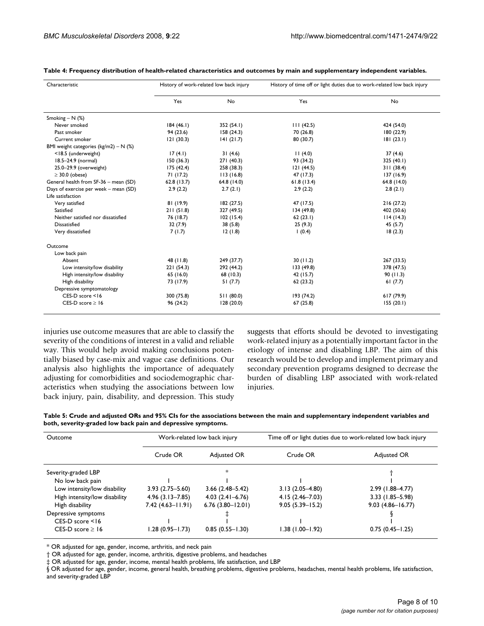| Characteristic                            | History of work-related low back injury |             | History of time off or light duties due to work-related low back injury |             |
|-------------------------------------------|-----------------------------------------|-------------|-------------------------------------------------------------------------|-------------|
|                                           | Yes                                     | No          | Yes                                                                     | No          |
| Smoking – $N$ (%)                         |                                         |             |                                                                         |             |
| Never smoked                              | 184(46.1)                               | 352 (54.1)  | 111(42.5)                                                               | 424 (54.0)  |
| Past smoker                               | 94 (23.6)                               | 158(24.3)   | 70 (26.8)                                                               | 180 (22.9)  |
| Current smoker                            | 121(30.3)                               | 141(21.7)   | 80 (30.7)                                                               | 81(23.1)    |
| BMI weight categories ( $kg/m2$ ) – N (%) |                                         |             |                                                                         |             |
| <18.5 (underweight)                       | 17(4.1)                                 | 31(4.6)     | 11(4.0)                                                                 | 37(4.6)     |
| 18.5-24.9 (normal)                        | 150(36.3)                               | 271(40.3)   | 93 (34.2)                                                               | 325(40.1)   |
| 25.0-29.9 (overweight)                    | 175(42.4)                               | 258 (38.3)  | 121(44.5)                                                               | 311(38.4)   |
| $\geq$ 30.0 (obese)                       | 71(17.2)                                | 113(16.8)   | 47 (17.3)                                                               | 137(16.9)   |
| General health from SF-36 - mean (SD)     | 62.8(13.7)                              | 64.8 (14.0) | 61.8(13.4)                                                              | 64.8 (14.0) |
| Days of exercise per week - mean (SD)     | 2.9(2.2)                                | 2.7(2.1)    | 2.9(2.2)                                                                | 2.8(2.1)    |
| Life satisfaction                         |                                         |             |                                                                         |             |
| Very satisfied                            | 81 (19.9)                               | 182 (27.5)  | 47 (17.5)                                                               | 216(27.2)   |
| Satisfied                                 | 211(51.8)                               | 327 (49.5)  | 134(49.8)                                                               | 402 (50.6)  |
| Neither satisfied nor dissatisfied        | 76 (18.7)                               | 102(15.4)   | 62(23.1)                                                                | 114(14.3)   |
| <b>Dissatisfied</b>                       | 32(7.9)                                 | 38(5.8)     | 25(9.3)                                                                 | 45(5.7)     |
| Very dissatisfied                         | 7(1.7)                                  | 12(1.8)     | 1(0.4)                                                                  | 18(2.3)     |
| Outcome                                   |                                         |             |                                                                         |             |
| Low back pain                             |                                         |             |                                                                         |             |
| Absent                                    | 48 (11.8)                               | 249 (37.7)  | 30(11.2)                                                                | 267 (33.5)  |
| Low intensity/low disability              | 221(54.3)                               | 292 (44.2)  | 133 (49.8)                                                              | 378 (47.5)  |
| High intensity/low disability             | 65 (16.0)                               | 68 (10.3)   | 42 (15.7)                                                               | 90(11.3)    |
| High disability                           | 73 (17.9)                               | 51(7.7)     | 62(23.2)                                                                | 61(7.7)     |
| Depressive symptomatology                 |                                         |             |                                                                         |             |
| $CES-D score < 16$                        | 300 (75.8)                              | 511 (80.0)  | 193 (74.2)                                                              | 617(79.9)   |
| CES-D score $\geq 16$                     | 96 (24.2)                               | 128(20.0)   | 67(25.8)                                                                | 155(20.1)   |

**Table 4: Frequency distribution of health-related characteristics and outcomes by main and supplementary independent variables.**

injuries use outcome measures that are able to classify the severity of the conditions of interest in a valid and reliable way. This would help avoid making conclusions potentially biased by case-mix and vague case definitions. Our analysis also highlights the importance of adequately adjusting for comorbidities and sociodemographic characteristics when studying the associations between low back injury, pain, disability, and depression. This study suggests that efforts should be devoted to investigating work-related injury as a potentially important factor in the etiology of intense and disabling LBP. The aim of this research would be to develop and implement primary and secondary prevention programs designed to decrease the burden of disabling LBP associated with work-related injuries.

**Table 5: Crude and adjusted ORs and 95% CIs for the associations between the main and supplementary independent variables and both, severity-graded low back pain and depressive symptoms.**

| Outcome                       | Work-related low back injury |                      | Time off or light duties due to work-related low back injury |                      |
|-------------------------------|------------------------------|----------------------|--------------------------------------------------------------|----------------------|
|                               | Crude OR                     | Adjusted OR          | Crude OR                                                     | Adjusted OR          |
| Severity-graded LBP           |                              | $\ast$               |                                                              |                      |
| No low back pain              |                              |                      |                                                              |                      |
| Low intensity/low disability  | $3.93(2.75 - 5.60)$          | $3.66(2.48 - 5.42)$  | $3.13(2.05 - 4.80)$                                          | 2.99 (1.88-4.77)     |
| High intensity/low disability | $4.96(3.13 - 7.85)$          | $4.03(2.41 - 6.76)$  | $4.15(2.46 - 7.03)$                                          | $3.33$ (1.85-5.98)   |
| High disability               | $7.42(4.63 - 11.91)$         | $6.76(3.80 - 12.01)$ | $9.05(5.39 - 15.2)$                                          | $9.03(4.86 - 16.77)$ |
| Depressive symptoms           |                              |                      |                                                              |                      |
| $CES-D score < 16$            |                              |                      |                                                              |                      |
| CES-D score $\geq$ 16         | $1.28(0.95 - 1.73)$          | $0.85(0.55 - 1.30)$  | 1.38 (1.00-1.92)                                             | $0.75(0.45 - 1.25)$  |

\* OR adjusted for age, gender, income, arthritis, and neck pain

† OR adjusted for age, gender, income, arthritis, digestive problems, and headaches

‡ OR adjusted for age, gender, income, mental health problems, life satisfaction, and LBP

§ OR adjusted for age, gender, income, general health, breathing problems, digestive problems, headaches, mental health problems, life satisfaction, and severity-graded LBP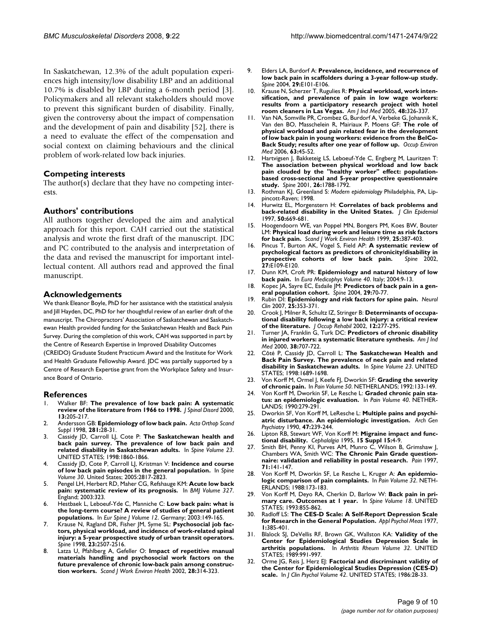In Saskatchewan, 12.3% of the adult population experiences high intensity/low disability LBP and an additional 10.7% is disabled by LBP during a 6-month period [3]. Policymakers and all relevant stakeholders should move to prevent this significant burden of disability. Finally, given the controversy about the impact of compensation and the development of pain and disability [52], there is a need to evaluate the effect of the compensation and social context on claiming behaviours and the clinical problem of work-related low back injuries.

### **Competing interests**

The author(s) declare that they have no competing interests.

#### **Authors' contributions**

All authors together developed the aim and analytical approach for this report. CAH carried out the statistical analysis and wrote the first draft of the manuscript. JDC and PC contributed to the analysis and interpretation of the data and revised the manuscript for important intellectual content. All authors read and approved the final manuscript.

#### **Acknowledgements**

We thank Eleanor Boyle, PhD for her assistance with the statistical analysis and Jill Hayden, DC, PhD for her thoughtful review of an earlier draft of the manuscript. The Chiropractors' Association of Saskatchewan and Saskatchewan Health provided funding for the Saskatchewan Health and Back Pain Survey. During the completion of this work, CAH was supported in part by the Centre of Research Expertise in Improved Disability Outcomes

(CREIDO) Graduate Student Practicum Award and the Institute for Work and Health Graduate Fellowship Award. JDC was partially supported by a Centre of Research Expertise grant from the Workplace Safety and Insurance Board of Ontario.

#### **References**

- 1. Walker BF: **[The prevalence of low back pain: A systematic](http://www.ncbi.nlm.nih.gov/entrez/query.fcgi?cmd=Retrieve&db=PubMed&dopt=Abstract&list_uids=10872758) [review of the literature from 1966 to 1998.](http://www.ncbi.nlm.nih.gov/entrez/query.fcgi?cmd=Retrieve&db=PubMed&dopt=Abstract&list_uids=10872758)** *J Spinal Disord* 2000, **13:**205-217.
- 2. Andersson GB: **[Epidemiology of low back pain.](http://www.ncbi.nlm.nih.gov/entrez/query.fcgi?cmd=Retrieve&db=PubMed&dopt=Abstract&list_uids=9771538)** *Acta Orthop Scand Suppl* 1998, **281:**28-31.
- 3. Cassidy JD, Carroll LJ, Cote P: **[The Saskatchewan health and](http://www.ncbi.nlm.nih.gov/entrez/query.fcgi?cmd=Retrieve&db=PubMed&dopt=Abstract&list_uids=9762743) [back pain survey. The prevalence of low back pain and](http://www.ncbi.nlm.nih.gov/entrez/query.fcgi?cmd=Retrieve&db=PubMed&dopt=Abstract&list_uids=9762743) [related disability in Saskatchewan adults.](http://www.ncbi.nlm.nih.gov/entrez/query.fcgi?cmd=Retrieve&db=PubMed&dopt=Abstract&list_uids=9762743)** In *Spine Volume 23*. UNITED STATES; 1998:1860-1866.
- 4. Cassidy JD, Cote P, Carroll LJ, Kristman V: **[Incidence and course](http://www.ncbi.nlm.nih.gov/entrez/query.fcgi?cmd=Retrieve&db=PubMed&dopt=Abstract&list_uids=16371911) [of low back pain episodes in the general population.](http://www.ncbi.nlm.nih.gov/entrez/query.fcgi?cmd=Retrieve&db=PubMed&dopt=Abstract&list_uids=16371911)** In *Spine Volume 30*. United States; 2005:2817-2823.
- 5. Pengel LH, Herbert RD, Maher CG, Refshauge KM: **[Acute low back](http://www.ncbi.nlm.nih.gov/entrez/query.fcgi?cmd=Retrieve&db=PubMed&dopt=Abstract&list_uids=12907487) [pain: systematic review of its prognosis.](http://www.ncbi.nlm.nih.gov/entrez/query.fcgi?cmd=Retrieve&db=PubMed&dopt=Abstract&list_uids=12907487)** In *BMJ Volume 327*. England; 2003:323.
- 6. Hestbaek L, Leboeuf-Yde C, Manniche C: **[Low back pain: what is](http://www.ncbi.nlm.nih.gov/entrez/query.fcgi?cmd=Retrieve&db=PubMed&dopt=Abstract&list_uids=12709853) [the long-term course? A review of studies of general patient](http://www.ncbi.nlm.nih.gov/entrez/query.fcgi?cmd=Retrieve&db=PubMed&dopt=Abstract&list_uids=12709853) [populations.](http://www.ncbi.nlm.nih.gov/entrez/query.fcgi?cmd=Retrieve&db=PubMed&dopt=Abstract&list_uids=12709853)** In *Eur Spine J Volume 12*. Germany; 2003:149-165.
- 7. Krause N, Ragland DR, Fisher JM, Syme SL: **[Psychosocial job fac](http://www.ncbi.nlm.nih.gov/entrez/query.fcgi?cmd=Retrieve&db=PubMed&dopt=Abstract&list_uids=9854749)tors, physical workload, and incidence of work-related spinal [injury: a 5-year prospective study of urban transit operators.](http://www.ncbi.nlm.nih.gov/entrez/query.fcgi?cmd=Retrieve&db=PubMed&dopt=Abstract&list_uids=9854749)** *Spine* 1998, **23:**2507-2516.
- 8. Latza U, Pfahlberg A, Gefeller O: **[Impact of repetitive manual](http://www.ncbi.nlm.nih.gov/entrez/query.fcgi?cmd=Retrieve&db=PubMed&dopt=Abstract&list_uids=12432984) materials handling and psychosocial work factors on the [future prevalence of chronic low-back pain among construc](http://www.ncbi.nlm.nih.gov/entrez/query.fcgi?cmd=Retrieve&db=PubMed&dopt=Abstract&list_uids=12432984)[tion workers.](http://www.ncbi.nlm.nih.gov/entrez/query.fcgi?cmd=Retrieve&db=PubMed&dopt=Abstract&list_uids=12432984)** *Scand J Work Environ Health* 2002, **28:**314-323.
- 9. Elders LA, Burdorf A: **[Prevalence, incidence, and recurrence of](http://www.ncbi.nlm.nih.gov/entrez/query.fcgi?cmd=Retrieve&db=PubMed&dopt=Abstract&list_uids=15014283) [low back pain in scaffolders during a 3-year follow-up study.](http://www.ncbi.nlm.nih.gov/entrez/query.fcgi?cmd=Retrieve&db=PubMed&dopt=Abstract&list_uids=15014283)** *Spine* 2004, **29:**E101-E106.
- 10. Krause N, Scherzer T, Rugulies R: **[Physical workload, work inten](http://www.ncbi.nlm.nih.gov/entrez/query.fcgi?cmd=Retrieve&db=PubMed&dopt=Abstract&list_uids=16193494)sification, and prevalence of pain in low wage workers: [results from a participatory research project with hotel](http://www.ncbi.nlm.nih.gov/entrez/query.fcgi?cmd=Retrieve&db=PubMed&dopt=Abstract&list_uids=16193494) [room cleaners in Las Vegas.](http://www.ncbi.nlm.nih.gov/entrez/query.fcgi?cmd=Retrieve&db=PubMed&dopt=Abstract&list_uids=16193494)** *Am J Ind Med* 2005, **48:**326-337.
- 11. Van NA, Somville PR, Crombez G, Burdorf A, Verbeke G, Johannik K, Van den BO, Masschelein R, Mairiaux P, Moens GF: **[The role of](http://www.ncbi.nlm.nih.gov/entrez/query.fcgi?cmd=Retrieve&db=PubMed&dopt=Abstract&list_uids=16361405) physical workload and pain related fear in the development [of low back pain in young workers: evidence from the BelCo-](http://www.ncbi.nlm.nih.gov/entrez/query.fcgi?cmd=Retrieve&db=PubMed&dopt=Abstract&list_uids=16361405)[Back Study; results after one year of follow up.](http://www.ncbi.nlm.nih.gov/entrez/query.fcgi?cmd=Retrieve&db=PubMed&dopt=Abstract&list_uids=16361405)** *Occup Environ Med* 2006, **63:**45-52.
- 12. Hartvigsen J, Bakketeig LS, Leboeuf-Yde C, Engberg M, Lauritzen T: **The association between physical workload and low back [pain clouded by the "healthy worker" effect: population](http://www.ncbi.nlm.nih.gov/entrez/query.fcgi?cmd=Retrieve&db=PubMed&dopt=Abstract&list_uids=11493851)based cross-sectional and 5-year prospective questionnaire [study.](http://www.ncbi.nlm.nih.gov/entrez/query.fcgi?cmd=Retrieve&db=PubMed&dopt=Abstract&list_uids=11493851)** *Spine* 2001, **26:**1788-1792.
- 13. Rothman KJ, Greenland S: *Modern epidemiology* Philadelphia, PA, Lippincott-Raven; 1998.
- 14. Hurwitz EL, Morgenstern H: **[Correlates of back problems and](http://www.ncbi.nlm.nih.gov/entrez/query.fcgi?cmd=Retrieve&db=PubMed&dopt=Abstract&list_uids=9250265) [back-related disability in the United States.](http://www.ncbi.nlm.nih.gov/entrez/query.fcgi?cmd=Retrieve&db=PubMed&dopt=Abstract&list_uids=9250265)** *J Clin Epidemiol* 1997, **50:**669-681.
- 15. Hoogendoorn WE, van Poppel MN, Bongers PM, Koes BW, Bouter LM: **[Physical load during work and leisure time as risk factors](http://www.ncbi.nlm.nih.gov/entrez/query.fcgi?cmd=Retrieve&db=PubMed&dopt=Abstract&list_uids=10569458) [for back pain.](http://www.ncbi.nlm.nih.gov/entrez/query.fcgi?cmd=Retrieve&db=PubMed&dopt=Abstract&list_uids=10569458)** *Scand J Work Environ Health* 1999, **25:**387-403.
- 16. Pincus T, Burton AK, Vogel S, Field AP: **[A systematic review of](http://www.ncbi.nlm.nih.gov/entrez/query.fcgi?cmd=Retrieve&db=PubMed&dopt=Abstract&list_uids=11880847) [psychological factors as predictors of chronicity/disability in](http://www.ncbi.nlm.nih.gov/entrez/query.fcgi?cmd=Retrieve&db=PubMed&dopt=Abstract&list_uids=11880847)** [prospective cohorts of low back pain.](http://www.ncbi.nlm.nih.gov/entrez/query.fcgi?cmd=Retrieve&db=PubMed&dopt=Abstract&list_uids=11880847) **27:**E109-E120.
- 17. Dunn KM, Croft PR: **[Epidemiology and natural history of low](http://www.ncbi.nlm.nih.gov/entrez/query.fcgi?cmd=Retrieve&db=PubMed&dopt=Abstract&list_uids=16030488) [back pain.](http://www.ncbi.nlm.nih.gov/entrez/query.fcgi?cmd=Retrieve&db=PubMed&dopt=Abstract&list_uids=16030488)** In *Eura Medicophys Volume 40*. Italy; 2004:9-13.
- 18. Kopec JA, Sayre EC, Esdaile JM: **[Predictors of back pain in a gen](http://www.ncbi.nlm.nih.gov/entrez/query.fcgi?cmd=Retrieve&db=PubMed&dopt=Abstract&list_uids=14699279)[eral population cohort.](http://www.ncbi.nlm.nih.gov/entrez/query.fcgi?cmd=Retrieve&db=PubMed&dopt=Abstract&list_uids=14699279)** *Spine* 2004, **29:**70-77.
- 19. Rubin DI: **[Epidemiology and risk factors for spine pain.](http://www.ncbi.nlm.nih.gov/entrez/query.fcgi?cmd=Retrieve&db=PubMed&dopt=Abstract&list_uids=17445733)** *Neurol Clin* 2007, **25:**353-371.
- 20. Crook J, Milner R, Schultz IZ, Stringer B: **[Determinants of occupa](http://www.ncbi.nlm.nih.gov/entrez/query.fcgi?cmd=Retrieve&db=PubMed&dopt=Abstract&list_uids=12389479)[tional disability following a low back injury: a critical review](http://www.ncbi.nlm.nih.gov/entrez/query.fcgi?cmd=Retrieve&db=PubMed&dopt=Abstract&list_uids=12389479) [of the literature.](http://www.ncbi.nlm.nih.gov/entrez/query.fcgi?cmd=Retrieve&db=PubMed&dopt=Abstract&list_uids=12389479)** *J Occup Rehabil* 2002, **12:**277-295.
- 21. Turner JA, Franklin G, Turk DC: **[Predictors of chronic disability](http://www.ncbi.nlm.nih.gov/entrez/query.fcgi?cmd=Retrieve&db=PubMed&dopt=Abstract&list_uids=11071692) [in injured workers: a systematic literature synthesis.](http://www.ncbi.nlm.nih.gov/entrez/query.fcgi?cmd=Retrieve&db=PubMed&dopt=Abstract&list_uids=11071692)** *Am J Ind Med* 2000, **38:**707-722.
- 22. Côté P, Cassidy JD, Carroll L: **[The Saskatchewan Health and](http://www.ncbi.nlm.nih.gov/entrez/query.fcgi?cmd=Retrieve&db=PubMed&dopt=Abstract&list_uids=9704377) [Back Pain Survey. The prevalence of neck pain and related](http://www.ncbi.nlm.nih.gov/entrez/query.fcgi?cmd=Retrieve&db=PubMed&dopt=Abstract&list_uids=9704377) [disability in Saskatchewan adults.](http://www.ncbi.nlm.nih.gov/entrez/query.fcgi?cmd=Retrieve&db=PubMed&dopt=Abstract&list_uids=9704377)** In *Spine Volume 23*. UNITED STATES; 1998:1689-1698.
- 23. Von Korff M, Ormel J, Keefe FJ, Dworkin SF: **[Grading the severity](http://www.ncbi.nlm.nih.gov/entrez/query.fcgi?cmd=Retrieve&db=PubMed&dopt=Abstract&list_uids=1408309) [of chronic pain.](http://www.ncbi.nlm.nih.gov/entrez/query.fcgi?cmd=Retrieve&db=PubMed&dopt=Abstract&list_uids=1408309)** In *Pain Volume 50*. NETHERLANDS; 1992:133-149.
- 24. Von Korff M, Dworkin SF, Le Resche L: **[Graded chronic pain sta](http://www.ncbi.nlm.nih.gov/entrez/query.fcgi?cmd=Retrieve&db=PubMed&dopt=Abstract&list_uids=2326094)[tus: an epidemiologic evaluation.](http://www.ncbi.nlm.nih.gov/entrez/query.fcgi?cmd=Retrieve&db=PubMed&dopt=Abstract&list_uids=2326094)** In *Pain Volume 40*. NETHER-LANDS; 1990:279-291.
- 25. Dworkin SF, Von Korff M, LeResche L: **[Multiple pains and psychi](http://www.ncbi.nlm.nih.gov/entrez/query.fcgi?cmd=Retrieve&db=PubMed&dopt=Abstract&list_uids=2306165)[atric disturbance. An epidemiologic investigation.](http://www.ncbi.nlm.nih.gov/entrez/query.fcgi?cmd=Retrieve&db=PubMed&dopt=Abstract&list_uids=2306165)** *Arch Gen Psychiatry* 1990, **47:**239-244.
- 26. Lipton RB, Stewart WF, Von Korff M: **[Migraine impact and func](http://www.ncbi.nlm.nih.gov/entrez/query.fcgi?cmd=Retrieve&db=PubMed&dopt=Abstract&list_uids=8749239)[tional disability.](http://www.ncbi.nlm.nih.gov/entrez/query.fcgi?cmd=Retrieve&db=PubMed&dopt=Abstract&list_uids=8749239)** *Cephalalgia* 1995, **15 Suppl 15:**4-9.
- 27. Smith BH, Penny KI, Purves AM, Munro C, Wilson B, Grimshaw J, Chambers WA, Smith WC: **[The Chronic Pain Grade question](http://www.ncbi.nlm.nih.gov/entrez/query.fcgi?cmd=Retrieve&db=PubMed&dopt=Abstract&list_uids=9211475)[naire: validation and reliability in postal research.](http://www.ncbi.nlm.nih.gov/entrez/query.fcgi?cmd=Retrieve&db=PubMed&dopt=Abstract&list_uids=9211475)** *Pain* 1997, **71:**141-147.
- 28. Von Korff M, Dworkin SF, Le Resche L, Kruger A: **[An epidemio](http://www.ncbi.nlm.nih.gov/entrez/query.fcgi?cmd=Retrieve&db=PubMed&dopt=Abstract&list_uids=3362555)[logic comparison of pain complaints.](http://www.ncbi.nlm.nih.gov/entrez/query.fcgi?cmd=Retrieve&db=PubMed&dopt=Abstract&list_uids=3362555)** In *Pain Volume 32*. NETH-ERLANDS; 1988:173-183.
- 29. Von Korff M, Deyo RA, Cherkin D, Barlow W: **[Back pain in pri](http://www.ncbi.nlm.nih.gov/entrez/query.fcgi?cmd=Retrieve&db=PubMed&dopt=Abstract&list_uids=8316884)[mary care. Outcomes at 1 year.](http://www.ncbi.nlm.nih.gov/entrez/query.fcgi?cmd=Retrieve&db=PubMed&dopt=Abstract&list_uids=8316884)** In *Spine Volume 18*. UNITED STATES; 1993:855-862.
- 30. Radloff LS: **The CES-D Scale: A Self-Report Depression Scale for Research in the General Population.** *Appl Psychol Meas* 1977, **1:**385-401.
- 31. Blalock SJ, DeVellis RF, Brown GK, Wallston KA: **[Validity of the](http://www.ncbi.nlm.nih.gov/entrez/query.fcgi?cmd=Retrieve&db=PubMed&dopt=Abstract&list_uids=2765012) [Center for Epidemiological Studies Depression Scale in](http://www.ncbi.nlm.nih.gov/entrez/query.fcgi?cmd=Retrieve&db=PubMed&dopt=Abstract&list_uids=2765012) [arthritis populations.](http://www.ncbi.nlm.nih.gov/entrez/query.fcgi?cmd=Retrieve&db=PubMed&dopt=Abstract&list_uids=2765012)** In *Arthritis Rheum Volume 32*. UNITED STATES; 1989:991-997.
- 32. Orme JG, Reis J, Herz EJ: [Factorial and discriminant validity of](http://www.ncbi.nlm.nih.gov/entrez/query.fcgi?cmd=Retrieve&db=PubMed&dopt=Abstract&list_uids=3950011) **[the Center for Epidemiological Studies Depression \(CES-D\)](http://www.ncbi.nlm.nih.gov/entrez/query.fcgi?cmd=Retrieve&db=PubMed&dopt=Abstract&list_uids=3950011) [scale.](http://www.ncbi.nlm.nih.gov/entrez/query.fcgi?cmd=Retrieve&db=PubMed&dopt=Abstract&list_uids=3950011)** In *J Clin Psychol Volume 42*. UNITED STATES; 1986:28-33.